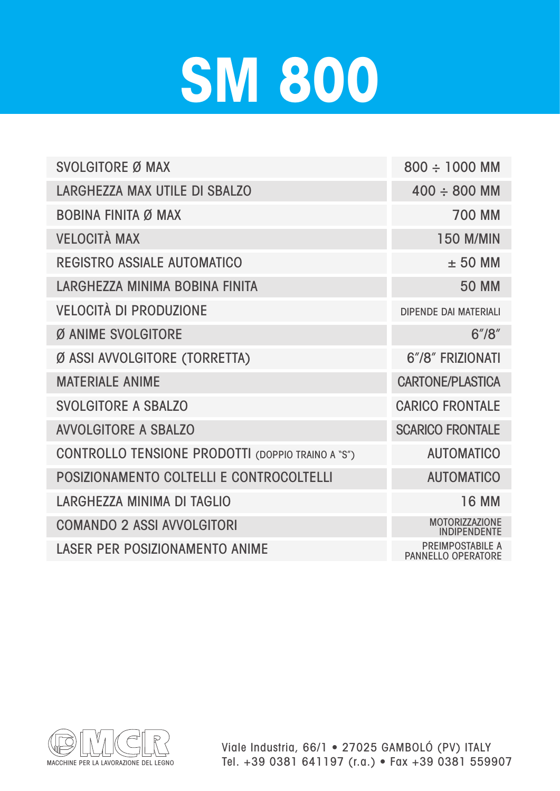## **SM 800**

| <b>SVOLGITORE Ø MAX</b>                                  | $800 \div 1000$ MM                                   |
|----------------------------------------------------------|------------------------------------------------------|
| LARGHEZZA MAX UTILE DI SBALZO                            | $400 \div 800$ MM                                    |
| <b>BOBINA FINITA Ø MAX</b>                               | <b>700 MM</b>                                        |
| <b>VELOCITÀ MAX</b>                                      | <b>150 M/MIN</b>                                     |
| <b>REGISTRO ASSIALE AUTOMATICO</b>                       | $± 50$ MM                                            |
| LARGHEZZA MINIMA BOBINA FINITA                           | <b>50 MM</b>                                         |
| <b>VELOCITÀ DI PRODUZIONE</b>                            | <b>DIPENDE DAI MATERIALI</b>                         |
| Ø ANIME SVOLGITORE                                       | 6''/8''                                              |
| Ø ASSI AVVOLGITORE (TORRETTA)                            | 6"/8" FRIZIONATI                                     |
| <b>MATERIALE ANIME</b>                                   | <b>CARTONE/PLASTICA</b>                              |
| <b>SVOLGITORE A SBALZO</b>                               | <b>CARICO FRONTALE</b>                               |
| <b>AVVOLGITORE A SBALZO</b>                              | <b>SCARICO FRONTALE</b>                              |
| <b>CONTROLLO TENSIONE PRODOTTI (DOPPIO TRAINO A "S")</b> | <b>AUTOMATICO</b>                                    |
| POSIZIONAMENTO COLTELLI E CONTROCOLTELLI                 | <b>AUTOMATICO</b>                                    |
| LARGHEZZA MINIMA DI TAGLIO                               | <b>16 MM</b>                                         |
| <b>COMANDO 2 ASSI AVVOLGITORI</b>                        | <b>MOTORIZZAZIONE</b><br><b>INDIPENDENTE</b>         |
| <b>LASER PER POSIZIONAMENTO ANIME</b>                    | <b>PREIMPOSTABILE A</b><br><b>PANNELLO OPERATORE</b> |